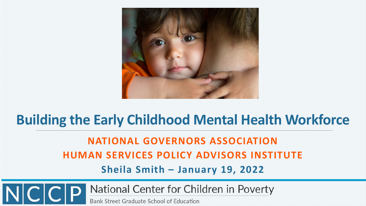

# **Building the Early Childhood Mental Health Workforce NATIONAL GOVERNORS ASSOCIATION HUMAN SERVICES POLICY ADVISORS INSTITUTE Sheila Smith – January 19, 2022**

National Center for Children in Poverty  $NCCP$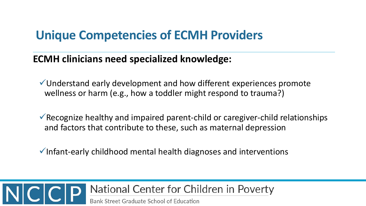### **Unique Competencies of ECMH Providers**

#### **ECMH clinicians need specialized knowledge:**

- Understand early development and how different experiences promote wellness or harm (e.g., how a toddler might respond to trauma?)
- $\checkmark$  Recognize healthy and impaired parent-child or caregiver-child relationships and factors that contribute to these, such as maternal depression
- $\checkmark$  Infant-early childhood mental health diagnoses and interventions

### National Center for Children in Poverty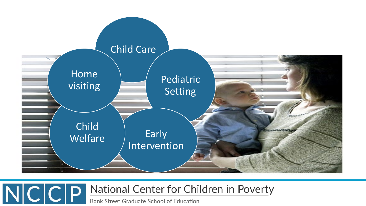

#### National Center for Children in Poverty  $NC|C|P$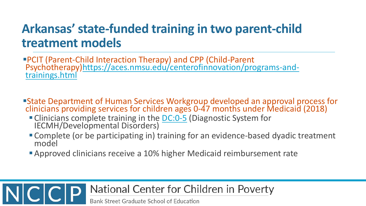### **Arkansas' state-funded training in two parent-child treatment models**

PCIT (Parent-Child Interaction Therapy) and CPP (Child-Parent [Psychotherapy\)https://aces.nmsu.edu/centerofinnovation/programs-and-](https://aces.nmsu.edu/centerofinnovation/programs-and-trainings.html)<br>trainings.html

- State Department of Human Services Workgroup developed an approval process for clinicians providing services for children ages 0-47 months under Medicaid (2018)
	- Clinicians complete training in the **DC:0-5** (Diagnostic System for IECMH/Developmental Disorders)
	- Complete (or be participating in) training for an evidence-based dyadic treatment<br>model
	- **Approved clinicians receive a 10% higher Medicaid reimbursement rate**

### National Center for Children in Poverty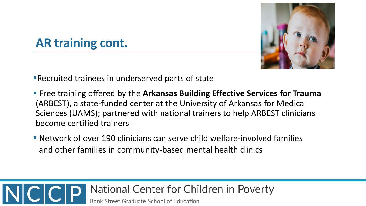

# **AR training cont.**

Recruited trainees in underserved parts of state

- **Figuer 1** Free training offered by the Arkansas Building Effective Services for Trauma (ARBEST), a state-funded center at the University of Arkansas for Medical Sciences (UAMS); partnered with national trainers to help ARBEST clinicians become certified trainers
- Network of over 190 clinicians can serve child welfare-involved families and other families in community-based mental health clinics

#### National Center for Children in Poverty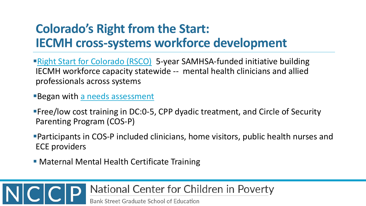### **Colorado's Right from the Start: IECMH cross-systems workforce development**

- **[Right Start for Colorado \(RSCO\)](https://mhcd.org/right-start-colorado/)** 5-year SAMHSA-funded initiative building IECMH workforce capacity statewide -- mental health clinicians and allied professionals across systems
- Began with [a needs assessment](https://mhcd.org/wp-content/uploads/2020/05/Infant-and-Early-Childhood-Needs-Assessment.pdf)
- Free/low cost training in DC:0-5, CPP dyadic treatment, and Circle of Security Parenting Program (COS-P)
- Participants in COS-P included clinicians, home visitors, public health nurses and ECE providers
- **Maternal Mental Health Certificate Training**

#### National Center for Children in Poverty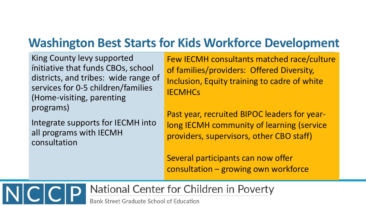# **Washington Best Starts for Kids Workforce Development**

King County levy supported initiative that funds CBOs, school districts, and tribes: wide range of services for 0-5 children/families (Home-visiting, parenting programs)

Integrate supports for IECMH into all programs with IECMH consultation

Few IECMH consultants matched race/culture of families/providers: Offered Diversity, Inclusion, Equity training to cadre of white **IECMHCs** 

Past year, recruited BIPOC leaders for yearlong IECMH community of learning (service providers, supervisors, other CBO staff)

Several participants can now offer consultation – growing own workforce

National Center for Children in Poverty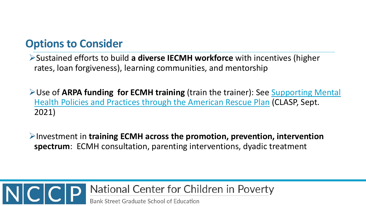#### **Options to Consider**

Sustained efforts to build **a diverse IECMH workforce** with incentives (higher rates, loan forgiveness), learning communities, and mentorship

Use of **ARPA funding for ECMH training** (train the trainer): See Supporting Mental [Health Policies and Practices through the American Rescue Plan](https://www.clasp.org/sites/default/files/publications/2021/09/Updated_2021_Supporting%20Mental%20Health%20Policies%2C%20Practices%20through%20ARP.pdf) (CLASP, Sept. 2021)

Investment in **training ECMH across the promotion, prevention, intervention spectrum**: ECMH consultation, parenting interventions, dyadic treatment

### National Center for Children in Poverty